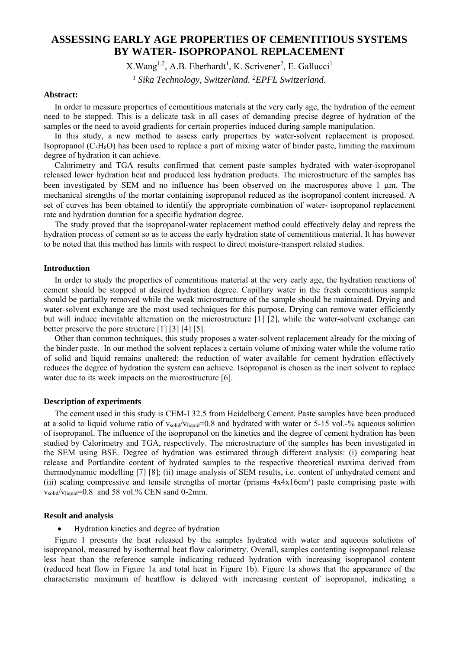# **ASSESSING EARLY AGE PROPERTIES OF CEMENTITIOUS SYSTEMS BY WATER- ISOPROPANOL REPLACEMENT**

 $X. Wang<sup>1,2</sup>, A.B. Eberhardt<sup>1</sup>, K. Scriver<sup>2</sup>, E. Gallucci<sup>1</sup>$ 

<sup>1</sup> Sika Technology, Switzerland. <sup>2</sup>EPFL Switzerland.

#### **Abstract:**

In order to measure properties of cementitious materials at the very early age, the hydration of the cement need to be stopped. This is a delicate task in all cases of demanding precise degree of hydration of the samples or the need to avoid gradients for certain properties induced during sample manipulation.

In this study, a new method to assess early properties by water-solvent replacement is proposed. Isopropanol  $(C_3H_8O)$  has been used to replace a part of mixing water of binder paste, limiting the maximum degree of hydration it can achieve.

Calorimetry and TGA results confirmed that cement paste samples hydrated with water-isopropanol released lower hydration heat and produced less hydration products. The microstructure of the samples has been investigated by SEM and no influence has been observed on the macrospores above  $1 \mu m$ . The mechanical strengths of the mortar containing isopropanol reduced as the isopropanol content increased. A set of curves has been obtained to identify the appropriate combination of water- isopropanol replacement rate and hydration duration for a specific hydration degree.

The study proved that the isopropanol-water replacement method could effectively delay and repress the hydration process of cement so as to access the early hydration state of cementitious material. It has however to be noted that this method has limits with respect to direct moisture-transport related studies.

### **Introduction**

In order to study the properties of cementitious material at the very early age, the hydration reactions of cement should be stopped at desired hydration degree. Capillary water in the fresh cementitious sample should be partially removed while the weak microstructure of the sample should be maintained. Drying and water-solvent exchange are the most used techniques for this purpose. Drying can remove water efficiently but will induce inevitable alternation on the microstructure [1] [2], while the water-solvent exchange can better preserve the pore structure [1] [3] [4] [5].

Other than common techniques, this study proposes a water-solvent replacement already for the mixing of the binder paste. In our method the solvent replaces a certain volume of mixing water while the volume ratio of solid and liquid remains unaltered; the reduction of water available for cement hydration effectively reduces the degree of hydration the system can achieve. Isopropanol is chosen as the inert solvent to replace water due to its week impacts on the microstructure [6].

### **Description of experiments**

The cement used in this study is CEM-I 32.5 from Heidelberg Cement. Paste samples have been produced at a solid to liquid volume ratio of vsolid/vliquid=0.8 and hydrated with water or 5-15 vol.-% aqueous solution of isopropanol. The influence of the isopropanol on the kinetics and the degree of cement hydration has been studied by Calorimetry and TGA, respectively. The microstructure of the samples has been investigated in the SEM using BSE. Degree of hydration was estimated through different analysis: (i) comparing heat release and Portlandite content of hydrated samples to the respective theoretical maxima derived from thermodynamic modelling [7] [8]; (ii) image analysis of SEM results, i.e. content of unhydrated cement and (iii) scaling compressive and tensile strengths of mortar (prisms  $4x4x16cm<sup>3</sup>$ ) paste comprising paste with vsolid/vliquid=0.8 and 58 vol.% CEN sand 0-2mm.

#### **Result and analysis**

Hydration kinetics and degree of hydration

Figure 1 presents the heat released by the samples hydrated with water and aqueous solutions of isopropanol, measured by isothermal heat flow calorimetry. Overall, samples contenting isopropanol release less heat than the reference sample indicating reduced hydration with increasing isopropanol content (reduced heat flow in Figure 1a and total heat in Figure 1b). Figure 1a shows that the appearance of the characteristic maximum of heatflow is delayed with increasing content of isopropanol, indicating a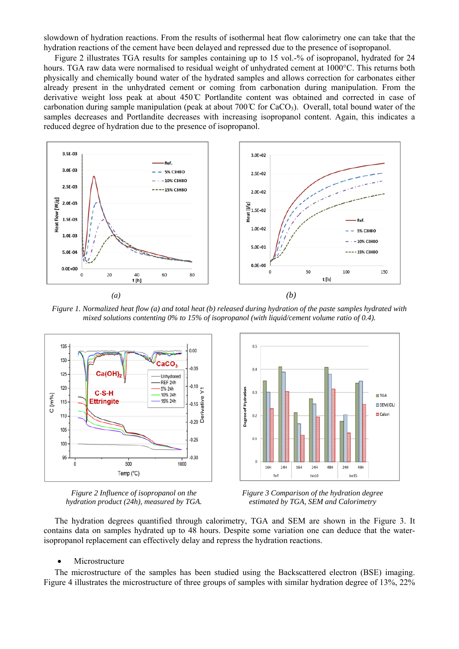slowdown of hydration reactions. From the results of isothermal heat flow calorimetry one can take that the hydration reactions of the cement have been delayed and repressed due to the presence of isopropanol.

Figure 2 illustrates TGA results for samples containing up to 15 vol.-% of isopropanol, hydrated for 24 hours. TGA raw data were normalised to residual weight of unhydrated cement at 1000°C. This returns both physically and chemically bound water of the hydrated samples and allows correction for carbonates either already present in the unhydrated cement or coming from carbonation during manipulation. From the derivative weight loss peak at about 450 ̊C Portlandite content was obtained and corrected in case of carbonation during sample manipulation (peak at about 700  $\mathbb{C}$  for CaCO<sub>3</sub>). Overall, total bound water of the samples decreases and Portlandite decreases with increasing isopropanol content. Again, this indicates a reduced degree of hydration due to the presence of isopropanol.



*Figure 1. Normalized heat flow (a) and total heat (b) released during hydration of the paste samples hydrated with mixed solutions contenting 0% to 15% of isopropanol (with liquid/cement volume ratio of 0.4).*







*Figure 3 Comparison of the hydration degree estimated by TGA, SEM and Calorimetry*

The hydration degrees quantified through calorimetry, TGA and SEM are shown in the Figure 3. It contains data on samples hydrated up to 48 hours. Despite some variation one can deduce that the waterisopropanol replacement can effectively delay and repress the hydration reactions.

#### Microstructure

The microstructure of the samples has been studied using the Backscattered electron (BSE) imaging. Figure 4 illustrates the microstructure of three groups of samples with similar hydration degree of 13%, 22%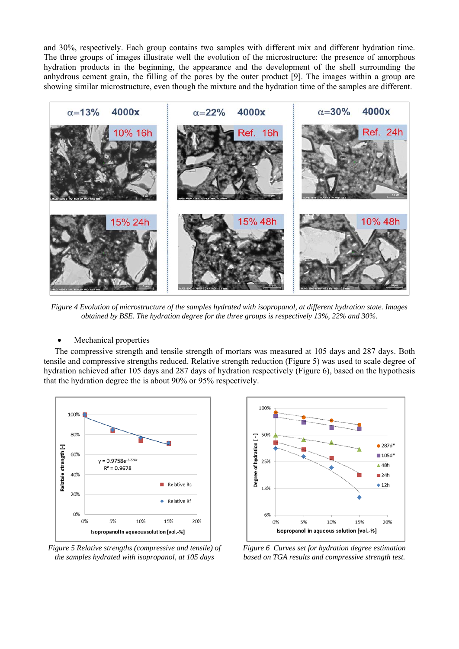and 30%, respectively. Each group contains two samples with different mix and different hydration time. The three groups of images illustrate well the evolution of the microstructure: the presence of amorphous hydration products in the beginning, the appearance and the development of the shell surrounding the anhydrous cement grain, the filling of the pores by the outer product [9]. The images within a group are showing similar microstructure, even though the mixture and the hydration time of the samples are different.



*Figure 4 Evolution of microstructure of the samples hydrated with isopropanol, at different hydration state. Images obtained by BSE. The hydration degree for the three groups is respectively 13%, 22% and 30%.* 

Mechanical properties

The compressive strength and tensile strength of mortars was measured at 105 days and 287 days. Both tensile and compressive strengths reduced. Relative strength reduction (Figure 5) was used to scale degree of hydration achieved after 105 days and 287 days of hydration respectively (Figure 6), based on the hypothesis that the hydration degree the is about 90% or 95% respectively.



*Figure 5 Relative strengths (compressive and tensile) of the samples hydrated with isopropanol, at 105 days* 



*Figure 6 Curves set for hydration degree estimation based on TGA results and compressive strength test.*